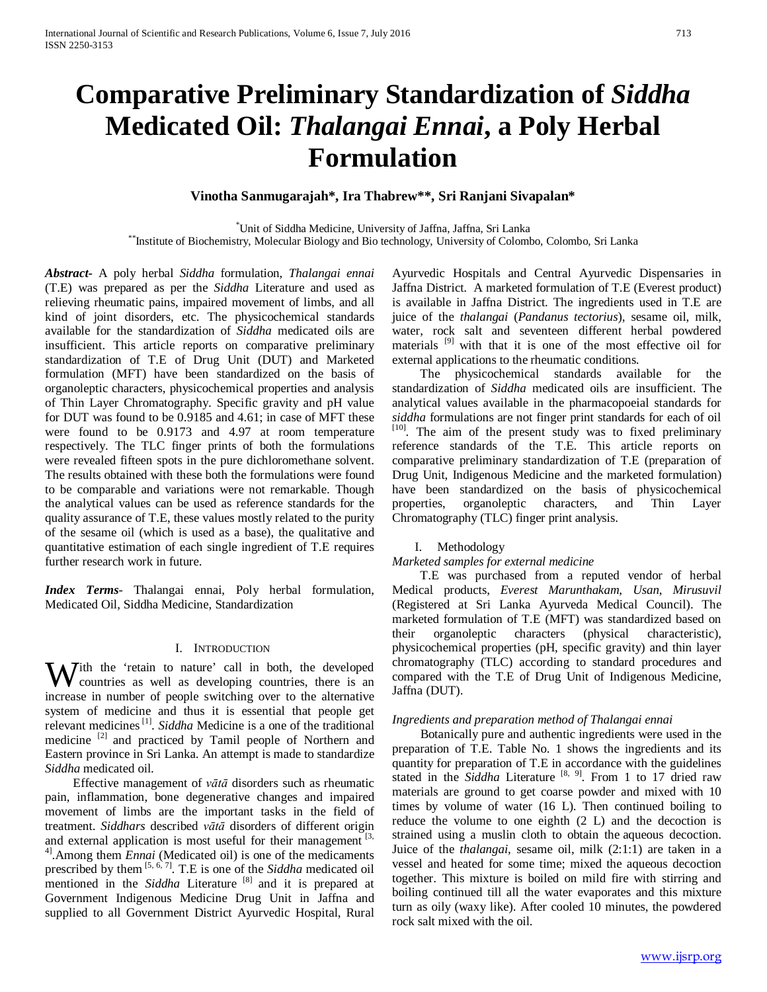# **Comparative Preliminary Standardization of** *Siddha* **Medicated Oil:** *Thalangai Ennai***, a Poly Herbal Formulation**

**Vinotha Sanmugarajah\*, Ira Thabrew\*\*, Sri Ranjani Sivapalan\***

<sup>\*</sup>Unit of Siddha Medicine, University of Jaffna, Jaffna, Sri Lanka \*\*Institute of Biochemistry, Molecular Biology and Bio technology, University of Colombo, Colombo, Sri Lanka

*Abstract***-** A poly herbal *Siddha* formulation, *Thalangai ennai*  (T.E) was prepared as per the *Siddha* Literature and used as relieving rheumatic pains, impaired movement of limbs, and all kind of joint disorders, etc. The physicochemical standards available for the standardization of *Siddha* medicated oils are insufficient. This article reports on comparative preliminary standardization of T.E of Drug Unit (DUT) and Marketed formulation (MFT) have been standardized on the basis of organoleptic characters, physicochemical properties and analysis of Thin Layer Chromatography. Specific gravity and pH value for DUT was found to be 0.9185 and 4.61; in case of MFT these were found to be 0.9173 and 4.97 at room temperature respectively. The TLC finger prints of both the formulations were revealed fifteen spots in the pure dichloromethane solvent. The results obtained with these both the formulations were found to be comparable and variations were not remarkable. Though the analytical values can be used as reference standards for the quality assurance of T.E, these values mostly related to the purity of the sesame oil (which is used as a base), the qualitative and quantitative estimation of each single ingredient of T.E requires further research work in future.

*Index Terms*- Thalangai ennai, Poly herbal formulation, Medicated Oil, Siddha Medicine, Standardization

# I. INTRODUCTION

With the 'retain to nature' call in both, the developed countries as well as developing countries, there is an countries as well as developing countries, there is an increase in number of people switching over to the alternative system of medicine and thus it is essential that people get relevant medicines<sup>[1]</sup>. *Siddha* Medicine is a one of the traditional medicine [2] and practiced by Tamil people of Northern and Eastern province in Sri Lanka. An attempt is made to standardize *Siddha* medicated oil.

 Effective management of *vātā* disorders such as rheumatic pain, inflammation, bone degenerative changes and impaired movement of limbs are the important tasks in the field of treatment. *Siddhars* described *vātā* disorders of different origin and external application is most useful for their management  $[3,$ <sup>4]</sup>. Among them *Ennai* (Medicated oil) is one of the medicaments prescribed by them <sup>[5, 6, 7]</sup>. T.E is one of the *Siddha* medicated oil mentioned in the *Siddha* Literature<sup>[8]</sup> and it is prepared at Government Indigenous Medicine Drug Unit in Jaffna and supplied to all Government District Ayurvedic Hospital, Rural Ayurvedic Hospitals and Central Ayurvedic Dispensaries in Jaffna District. A marketed formulation of T.E (Everest product) is available in Jaffna District. The ingredients used in T.E are juice of the *thalangai* (*Pandanus tectorius*), sesame oil, milk, water, rock salt and seventeen different herbal powdered materials<sup>[9]</sup> with that it is one of the most effective oil for external applications to the rheumatic conditions.

 The physicochemical standards available for the standardization of *Siddha* medicated oils are insufficient. The analytical values available in the pharmacopoeial standards for *siddha* formulations are not finger print standards for each of oil [10]. The aim of the present study was to fixed preliminary reference standards of the T.E. This article reports on comparative preliminary standardization of T.E (preparation of Drug Unit, Indigenous Medicine and the marketed formulation) have been standardized on the basis of physicochemical properties, organoleptic characters, and Thin Laver properties, organoleptic characters, and Thin Layer Chromatography (TLC) finger print analysis.

#### I. Methodology

#### *Marketed samples for external medicine*

 T.E was purchased from a reputed vendor of herbal Medical products, *Everest Marunthakam*, *Usan*, *Mirusuvil*  (Registered at Sri Lanka Ayurveda Medical Council). The marketed formulation of T.E (MFT) was standardized based on their organoleptic characters (physical characteristic), physicochemical properties (pH, specific gravity) and thin layer chromatography (TLC) according to standard procedures and compared with the T.E of Drug Unit of Indigenous Medicine, Jaffna (DUT).

## *Ingredients and preparation method of Thalangai ennai*

 Botanically pure and authentic ingredients were used in the preparation of T.E. Table No. 1 shows the ingredients and its quantity for preparation of T.E in accordance with the guidelines stated in the *Siddha* Literature <sup>[8, 9]</sup>. From 1 to 17 dried raw materials are ground to get coarse powder and mixed with 10 times by volume of water (16 L). Then continued boiling to reduce the volume to one eighth (2 L) and the decoction is strained using a muslin cloth to obtain the aqueous decoction. Juice of the *thalangai,* sesame oil, milk (2:1:1) are taken in a vessel and heated for some time; mixed the aqueous decoction together. This mixture is boiled on mild fire with stirring and boiling continued till all the water evaporates and this mixture turn as oily (waxy like). After cooled 10 minutes, the powdered rock salt mixed with the oil.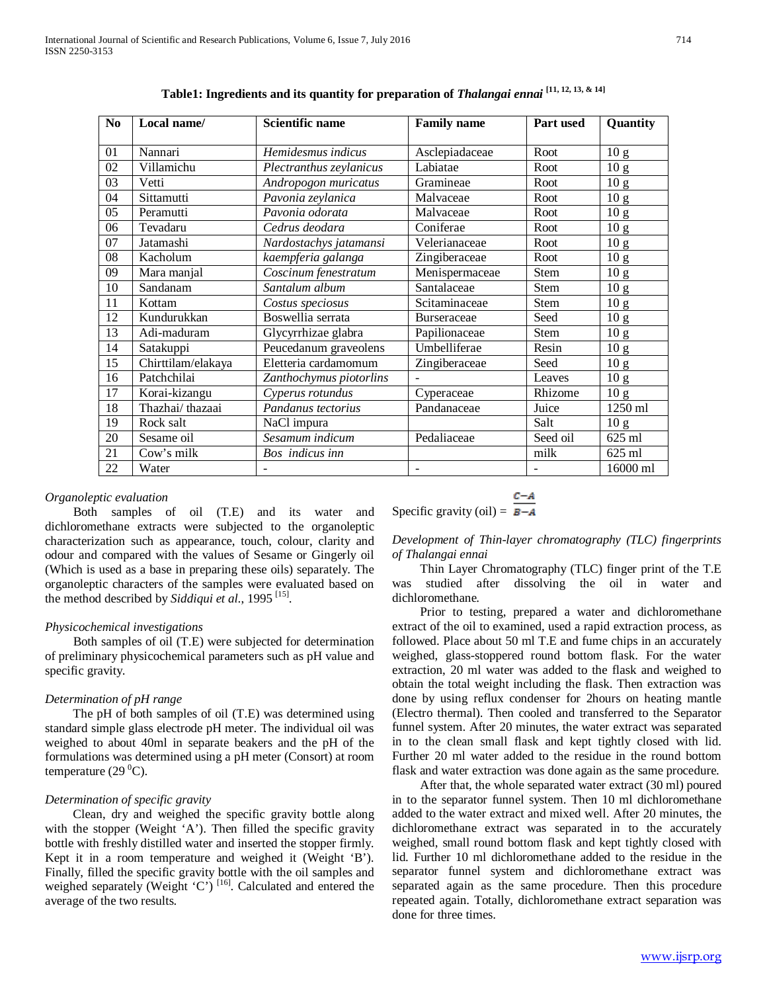| N <sub>0</sub> | Local name/        | <b>Scientific name</b>  | <b>Family name</b> | Part used   | Quantity        |
|----------------|--------------------|-------------------------|--------------------|-------------|-----------------|
| 01             | Nannari            | Hemidesmus indicus      | Asclepiadaceae     | Root        | 10 <sub>g</sub> |
| 02             | Villamichu         | Plectranthus zeylanicus | Labiatae           | Root        | 10 <sub>g</sub> |
| 03             | Vetti              | Andropogon muricatus    | Gramineae          | Root        | 10 <sub>g</sub> |
| 04             | Sittamutti         | Pavonia zeylanica       | Malvaceae          | Root        | 10 <sub>g</sub> |
| 05             | Peramutti          | Pavonia odorata         | Malvaceae          | Root        | 10 <sub>g</sub> |
| 06             | Tevadaru           | Cedrus deodara          | Coniferae          | Root        | 10 <sub>g</sub> |
| 07             | Jatamashi          | Nardostachys jatamansi  | Velerianaceae      | Root        | 10 <sub>g</sub> |
| 08             | Kacholum           | kaempferia galanga      | Zingiberaceae      | Root        | 10 <sub>g</sub> |
| 09             | Mara manjal        | Coscinum fenestratum    | Menispermaceae     | Stem        | 10 <sub>g</sub> |
| 10             | Sandanam           | Santalum album          | Santalaceae        | <b>Stem</b> | 10 <sub>g</sub> |
| 11             | Kottam             | Costus speciosus        | Scitaminaceae      | Stem        | 10 <sub>g</sub> |
| 12             | Kundurukkan        | Boswellia serrata       | <b>Burseraceae</b> | Seed        | 10 g            |
| 13             | Adi-maduram        | Glycyrrhizae glabra     | Papilionaceae      | <b>Stem</b> | 10 g            |
| 14             | Satakuppi          | Peucedanum graveolens   | Umbelliferae       | Resin       | 10 <sub>g</sub> |
| 15             | Chirttilam/elakaya | Eletteria cardamomum    | Zingiberaceae      | Seed        | 10 <sub>g</sub> |
| 16             | Patchchilai        | Zanthochymus piotorlins |                    | Leaves      | 10 <sub>g</sub> |
| 17             | Korai-kizangu      | Cyperus rotundus        | Cyperaceae         | Rhizome     | 10 <sub>g</sub> |
| 18             | Thazhai/thazaai    | Pandanus tectorius      | Pandanaceae        | Juice       | 1250 ml         |
| 19             | Rock salt          | NaCl impura             |                    | Salt        | 10 <sub>g</sub> |
| 20             | Sesame oil         | Sesamum indicum         | Pedaliaceae        | Seed oil    | 625 ml          |
| 21             | Cow's milk         | Bos indicus inn         |                    | milk        | 625 ml          |
| 22             | Water              |                         |                    |             | 16000 ml        |

**Table1: Ingredients and its quantity for preparation of** *Thalangai ennai* **[11, 12, 13, & 14]**

## *Organoleptic evaluation*

 Both samples of oil (T.E) and its water and dichloromethane extracts were subjected to the organoleptic characterization such as appearance, touch, colour, clarity and odour and compared with the values of Sesame or Gingerly oil (Which is used as a base in preparing these oils) separately. The organoleptic characters of the samples were evaluated based on the method described by *Siddiqui et al*., 1995 [15].

## *Physicochemical investigations*

 Both samples of oil (T.E) were subjected for determination of preliminary physicochemical parameters such as pH value and specific gravity.

## *Determination of pH range*

 The pH of both samples of oil (T.E) was determined using standard simple glass electrode pH meter. The individual oil was weighed to about 40ml in separate beakers and the pH of the formulations was determined using a pH meter (Consort) at room temperature (29 $\rm ^{0}C$ ).

#### *Determination of specific gravity*

 Clean, dry and weighed the specific gravity bottle along with the stopper (Weight 'A'). Then filled the specific gravity bottle with freshly distilled water and inserted the stopper firmly. Kept it in a room temperature and weighed it (Weight 'B'). Finally, filled the specific gravity bottle with the oil samples and weighed separately (Weight 'C')<sup>[16]</sup>. Calculated and entered the average of the two results.

$$
Specific gravity (oil) = \frac{C-A}{B-A}
$$

*Development of Thin-layer chromatography (TLC) fingerprints of Thalangai ennai*

 Thin Layer Chromatography (TLC) finger print of the T.E was studied after dissolving the oil in water and dichloromethane.

 Prior to testing, prepared a water and dichloromethane extract of the oil to examined, used a rapid extraction process, as followed. Place about 50 ml T.E and fume chips in an accurately weighed, glass-stoppered round bottom flask. For the water extraction, 20 ml water was added to the flask and weighed to obtain the total weight including the flask. Then extraction was done by using reflux condenser for 2hours on heating mantle (Electro thermal). Then cooled and transferred to the Separator funnel system. After 20 minutes, the water extract was separated in to the clean small flask and kept tightly closed with lid. Further 20 ml water added to the residue in the round bottom flask and water extraction was done again as the same procedure.

 After that, the whole separated water extract (30 ml) poured in to the separator funnel system. Then 10 ml dichloromethane added to the water extract and mixed well. After 20 minutes, the dichloromethane extract was separated in to the accurately weighed, small round bottom flask and kept tightly closed with lid. Further 10 ml dichloromethane added to the residue in the separator funnel system and dichloromethane extract was separated again as the same procedure. Then this procedure repeated again. Totally, dichloromethane extract separation was done for three times.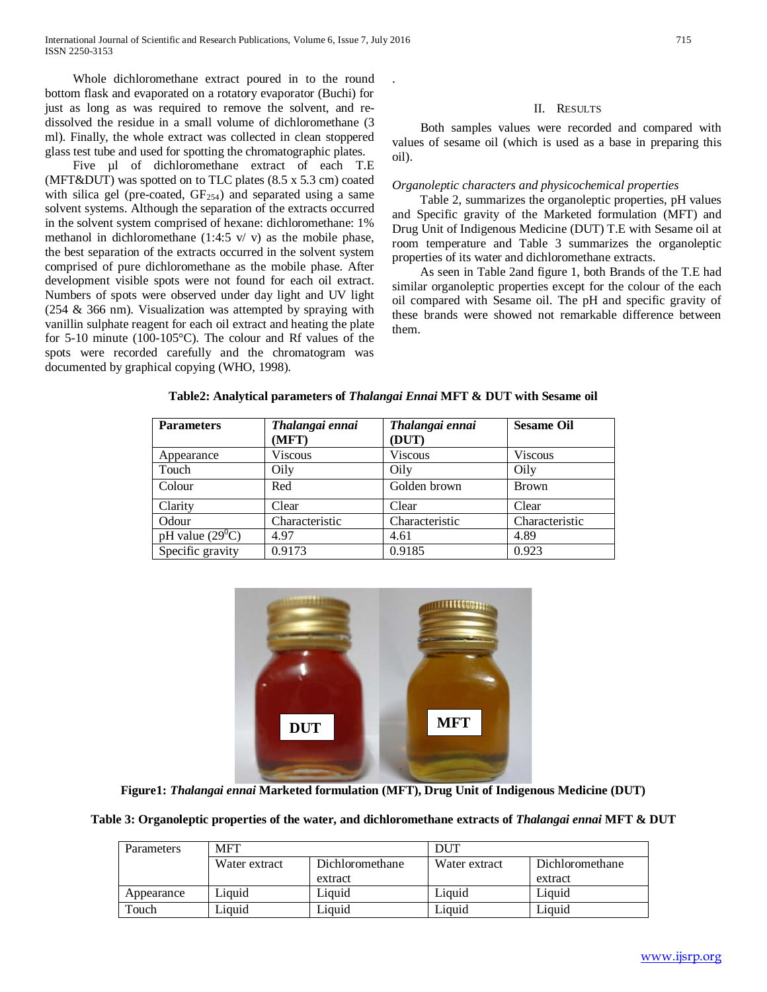Whole dichloromethane extract poured in to the round bottom flask and evaporated on a rotatory evaporator (Buchi) for just as long as was required to remove the solvent, and redissolved the residue in a small volume of dichloromethane (3 ml). Finally, the whole extract was collected in clean stoppered glass test tube and used for spotting the chromatographic plates.

Five µl of dichloromethane extract of each T.E (MFT&DUT) was spotted on to TLC plates (8.5 x 5.3 cm) coated with silica gel (pre-coated,  $GF_{254}$ ) and separated using a same solvent systems. Although the separation of the extracts occurred in the solvent system comprised of hexane: dichloromethane: 1% methanol in dichloromethane  $(1:4:5 \text{ v}/\text{ v})$  as the mobile phase, the best separation of the extracts occurred in the solvent system comprised of pure dichloromethane as the mobile phase. After development visible spots were not found for each oil extract. Numbers of spots were observed under day light and UV light (254 & 366 nm). Visualization was attempted by spraying with vanillin sulphate reagent for each oil extract and heating the plate for 5-10 minute (100-105°C). The colour and Rf values of the spots were recorded carefully and the chromatogram was documented by graphical copying (WHO, 1998).

## II. RESULTS

 Both samples values were recorded and compared with values of sesame oil (which is used as a base in preparing this oil).

# *Organoleptic characters and physicochemical properties*

 Table 2, summarizes the organoleptic properties, pH values and Specific gravity of the Marketed formulation (MFT) and Drug Unit of Indigenous Medicine (DUT) T.E with Sesame oil at room temperature and Table 3 summarizes the organoleptic properties of its water and dichloromethane extracts.

 As seen in Table 2and figure 1, both Brands of the T.E had similar organoleptic properties except for the colour of the each oil compared with Sesame oil. The pH and specific gravity of these brands were showed not remarkable difference between them.

| <b>Parameters</b>    | Thalangai ennai<br>(MFT) | Thalangai ennai<br>(DUT) | <b>Sesame Oil</b> |
|----------------------|--------------------------|--------------------------|-------------------|
| Appearance           | <b>Viscous</b>           | <b>Viscous</b>           | <b>Viscous</b>    |
| Touch                | Oily                     | Oily                     | Oily              |
| Colour               | Red                      | Golden brown             | <b>Brown</b>      |
| Clarity              | Clear                    | Clear                    | Clear             |
| Odour                | Characteristic           | Characteristic           | Characteristic    |
| pH value $(29^{0}C)$ | 4.97                     | 4.61                     | 4.89              |
| Specific gravity     | 0.9173                   | 0.9185                   | 0.923             |

**Table2: Analytical parameters of** *Thalangai Ennai* **MFT & DUT with Sesame oil**

.



**Figure1:** *Thalangai ennai* **Marketed formulation (MFT), Drug Unit of Indigenous Medicine (DUT)**

|  | Table 3: Organoleptic properties of the water, and dichloromethane extracts of <i>Thalangai ennai</i> MFT & DUT |  |
|--|-----------------------------------------------------------------------------------------------------------------|--|
|  |                                                                                                                 |  |

| <b>Parameters</b> | <b>MFT</b>                       |         | DUT           |                 |
|-------------------|----------------------------------|---------|---------------|-----------------|
|                   | Water extract<br>Dichloromethane |         | Water extract | Dichloromethane |
|                   |                                  | extract |               | extract         |
| Appearance        | Liquid                           | Liquid  | Liquid        | Liquid          |
| Touch             | Liauid                           | Liauid  | Liquid        | Liauid          |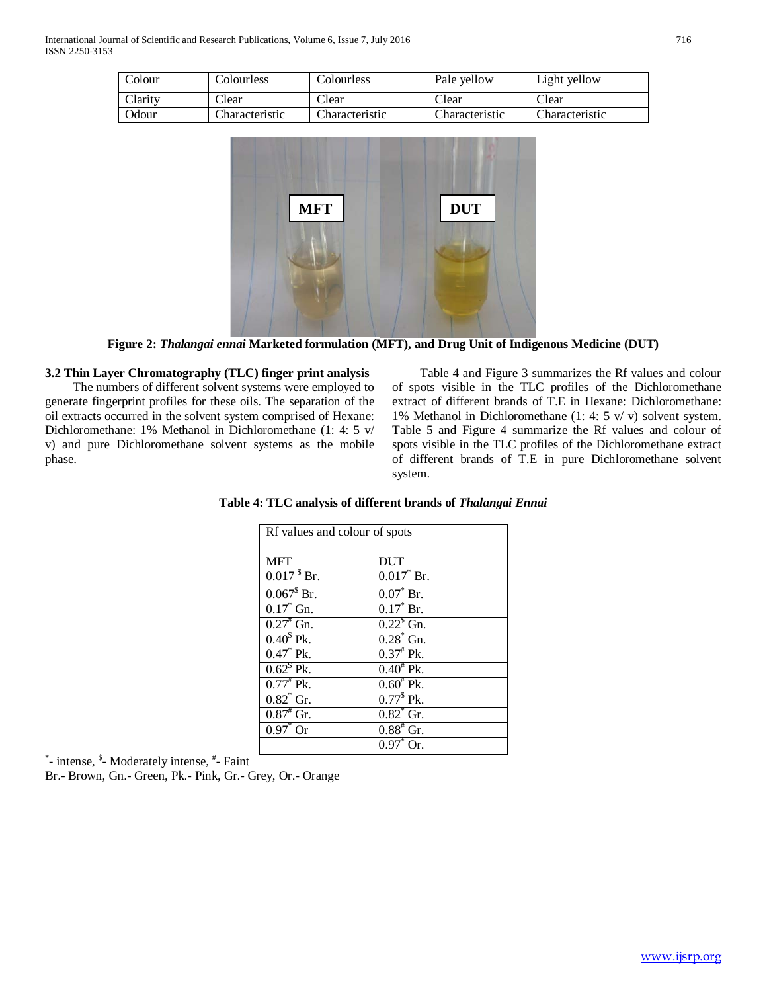| Colour       | Colourless     | Colourless     | Pale vellow    | Light yellow   |
|--------------|----------------|----------------|----------------|----------------|
| Clarity      | Clear          | Clear          | Clear          | Clear          |
| <b>Odour</b> | Characteristic | Characteristic | Characteristic | Characteristic |



**Figure 2:** *Thalangai ennai* **Marketed formulation (MFT), and Drug Unit of Indigenous Medicine (DUT)**

# **3.2 Thin Layer Chromatography (TLC) finger print analysis**

 The numbers of different solvent systems were employed to generate fingerprint profiles for these oils. The separation of the oil extracts occurred in the solvent system comprised of Hexane: Dichloromethane: 1% Methanol in Dichloromethane (1: 4: 5 v/ v) and pure Dichloromethane solvent systems as the mobile phase.

 Table 4 and Figure 3 summarizes the Rf values and colour of spots visible in the TLC profiles of the Dichloromethane extract of different brands of T.E in Hexane: Dichloromethane: 1% Methanol in Dichloromethane (1: 4: 5 v/ v) solvent system. Table 5 and Figure 4 summarize the Rf values and colour of spots visible in the TLC profiles of the Dichloromethane extract of different brands of T.E in pure Dichloromethane solvent system.

| Rf values and colour of spots |                       |  |  |
|-------------------------------|-----------------------|--|--|
| <b>MFT</b>                    | <b>DUT</b>            |  |  |
| $0.0178$ Br.                  | $0.017^*$ Br.         |  |  |
| $0.067^{\$}$ Br.              | $0.07^*$ Br.          |  |  |
| $0.17^*$ Gn.                  | $0.17^*$ Br.          |  |  |
| $0.27^*$ Gn.                  | $0.22^{\rm s}$ Gn.    |  |  |
| $0.40^5$ Pk.                  | $0.28$ Gn.            |  |  |
| $0.47^*$ Pk.                  | $0.37^*$ Pk.          |  |  |
| $0.62^s$ Pk.                  | $0.40^{\text{*}}$ Pk. |  |  |
| $0.77^*$ Pk.                  | $0.60^{\text{*}}$ Pk. |  |  |
| $0.82^*$ Gr.                  | $0.77^{\$}$ Pk.       |  |  |
| $0.87^*$ Gr.                  | $0.82^*$ Gr.          |  |  |
| $0.97^{\circ}$ Or             | $0.88^{*}$ Gr.        |  |  |
|                               | $0.97^*$ Or.          |  |  |

**Table 4: TLC analysis of different brands of** *Thalangai Ennai*

\*- intense, <sup>\$</sup>- Moderately intense, <sup>#</sup>- Faint

Br.- Brown, Gn.- Green, Pk.- Pink, Gr.- Grey, Or.- Orange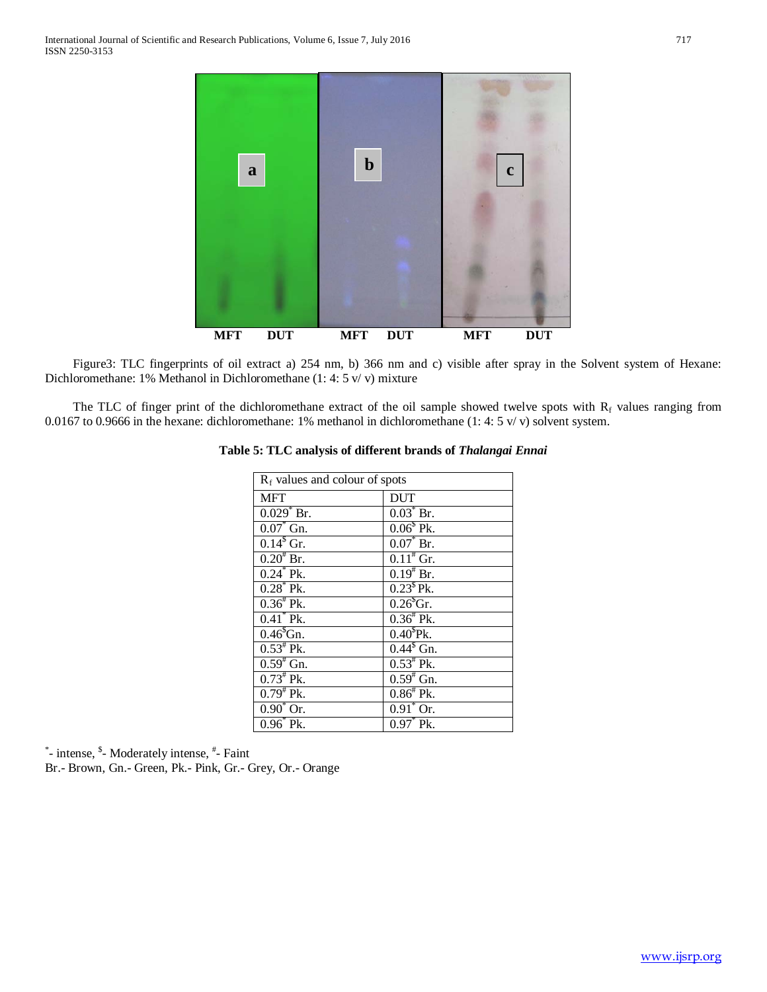

 Figure3: TLC fingerprints of oil extract a) 254 nm, b) 366 nm and c) visible after spray in the Solvent system of Hexane: Dichloromethane: 1% Methanol in Dichloromethane (1: 4: 5 v/ v) mixture

The TLC of finger print of the dichloromethane extract of the oil sample showed twelve spots with  $R_f$  values ranging from 0.0167 to 0.9666 in the hexane: dichloromethane: 1% methanol in dichloromethane (1: 4: 5 v/ v) solvent system.

| $R_f$ values and colour of spots |                       |  |
|----------------------------------|-----------------------|--|
| <b>MFT</b>                       | <b>DUT</b>            |  |
| $0.029$ <sup>*</sup> Br.         | $0.03^*$ Br.          |  |
| $0.07^*$ Gn.                     | $0.06^{\rm s}$ Pk.    |  |
| $0.14^{\rm s}$ Gr.               | $0.07^*$ Br.          |  |
| $0.20^{*}$ Br.                   | $0.11^{#}$ Gr.        |  |
| $0.24^*$ Pk.                     | $0.19^{\text{*}}$ Br. |  |
| $0.28^*$ Pk.                     | $0.23^{\$}$ Pk.       |  |
| $0.36^{\text{*}}$ Pk.            | $0.26§$ Gr.           |  |
| $0.41^*$ Pk.                     | $0.36^{\#}$ Pk.       |  |
| $0.46§$ Gn.                      | $0.40^{\text{S}}$ Pk. |  |
| $0.53^{\text{*}}$ Pk.            | $0.44§$ Gn.           |  |
| $0.59^{#}$ Gn.                   | $0.53^{\text{*}}$ Pk. |  |
| $0.73^{\text{*}}$ Pk.            | $0.59^{#}$ Gn.        |  |
| $0.79^{\text{*}}$ Pk.            | $0.86^{\text{*}}$ Pk. |  |
| $0.90^{\circ}$ Or.               | $0.91^{\circ}$ Or.    |  |
| $0.96^*$ Pk.                     | $0.97^*$ Pk.          |  |

# **Table 5: TLC analysis of different brands of** *Thalangai Ennai*

\*- intense, \$- Moderately intense,  $*$ - Faint

Br.- Brown, Gn.- Green, Pk.- Pink, Gr.- Grey, Or.- Orange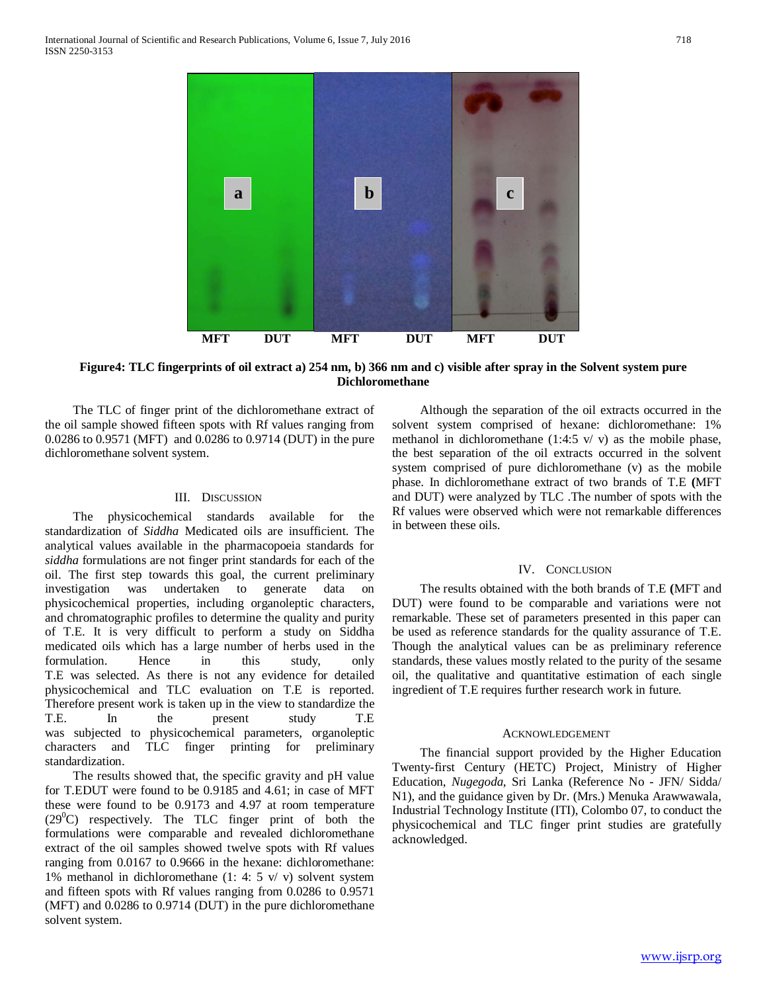

**Figure4: TLC fingerprints of oil extract a) 254 nm, b) 366 nm and c) visible after spray in the Solvent system pure Dichloromethane**

 The TLC of finger print of the dichloromethane extract of the oil sample showed fifteen spots with Rf values ranging from 0.0286 to 0.9571 (MFT) and 0.0286 to 0.9714 (DUT) in the pure dichloromethane solvent system.

## III. DISCUSSION

 The physicochemical standards available for the standardization of *Siddha* Medicated oils are insufficient. The analytical values available in the pharmacopoeia standards for *siddha* formulations are not finger print standards for each of the oil. The first step towards this goal*,* the current preliminary investigation was undertaken to generate data on physicochemical properties, including organoleptic characters, and chromatographic profiles to determine the quality and purity of T.E. It is very difficult to perform a study on Siddha medicated oils which has a large number of herbs used in the formulation. Hence in this study, only T.E was selected. As there is not any evidence for detailed physicochemical and TLC evaluation on T.E is reported. Therefore present work is taken up in the view to standardize the T.E. In the present study T.E was subjected to physicochemical parameters, organoleptic characters and TLC finger printing for preliminary standardization.

 The results showed that, the specific gravity and pH value for T.EDUT were found to be 0.9185 and 4.61; in case of MFT these were found to be 0.9173 and 4.97 at room temperature  $(29^0C)$  respectively. The TLC finger print of both the formulations were comparable and revealed dichloromethane extract of the oil samples showed twelve spots with Rf values ranging from 0.0167 to 0.9666 in the hexane: dichloromethane: 1% methanol in dichloromethane (1: 4: 5 v/ v) solvent system and fifteen spots with Rf values ranging from 0.0286 to 0.9571 (MFT) and 0.0286 to 0.9714 (DUT) in the pure dichloromethane solvent system.

 Although the separation of the oil extracts occurred in the solvent system comprised of hexane: dichloromethane: 1% methanol in dichloromethane (1:4:5  $v/v$ ) as the mobile phase, the best separation of the oil extracts occurred in the solvent system comprised of pure dichloromethane (v) as the mobile phase. In dichloromethane extract of two brands of T.E **(**MFT and DUT) were analyzed by TLC .The number of spots with the Rf values were observed which were not remarkable differences in between these oils.

#### IV. CONCLUSION

 The results obtained with the both brands of T.E **(**MFT and DUT) were found to be comparable and variations were not remarkable. These set of parameters presented in this paper can be used as reference standards for the quality assurance of T.E. Though the analytical values can be as preliminary reference standards, these values mostly related to the purity of the sesame oil, the qualitative and quantitative estimation of each single ingredient of T.E requires further research work in future.

#### ACKNOWLEDGEMENT

 The financial support provided by the Higher Education Twenty-first Century (HETC) Project, Ministry of Higher Education, *Nugegoda*, Sri Lanka (Reference No - JFN/ Sidda/ N1), and the guidance given by Dr. (Mrs.) Menuka Arawwawala, Industrial Technology Institute (ITI), Colombo 07, to conduct the physicochemical and TLC finger print studies are gratefully acknowledged.